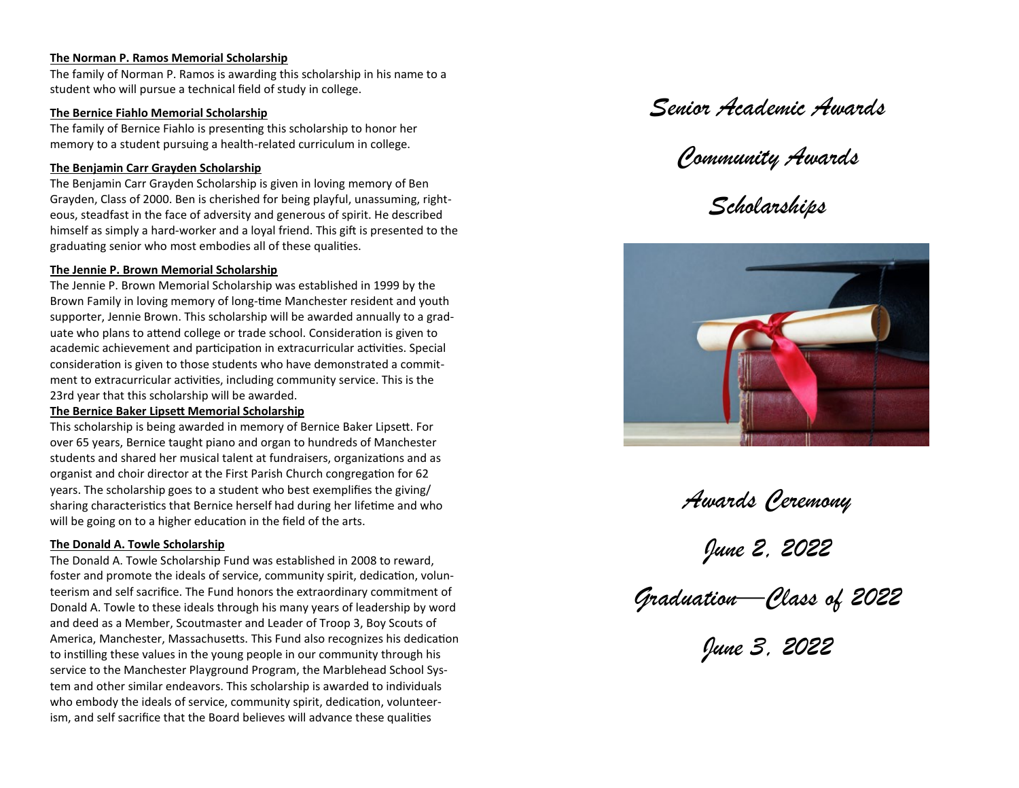#### **The Norman P. Ramos Memorial Scholarship**

The family of Norman P. Ramos is awarding this scholarship in his name to a student who will pursue a technical field of study in college.

## **The Bernice Fiahlo Memorial Scholarship**

The family of Bernice Fiahlo is presenting this scholarship to honor her memory to a student pursuing a health-related curriculum in college.

## **The Benjamin Carr Grayden Scholarship**

The Benjamin Carr Grayden Scholarship is given in loving memory of Ben Grayden, Class of 2000. Ben is cherished for being playful, unassuming, righteous, steadfast in the face of adversity and generous of spirit. He described himself as simply a hard-worker and a loyal friend. This gift is presented to the graduating senior who most embodies all of these qualities.

## **The Jennie P. Brown Memorial Scholarship**

The Jennie P. Brown Memorial Scholarship was established in 1999 by the Brown Family in loving memory of long-time Manchester resident and youth supporter, Jennie Brown. This scholarship will be awarded annually to a graduate who plans to attend college or trade school. Consideration is given to academic achievement and participation in extracurricular activities. Special consideration is given to those students who have demonstrated a commitment to extracurricular activities, including community service. This is the 23rd year that this scholarship will be awarded.

## **The Bernice Baker Lipsett Memorial Scholarship**

This scholarship is being awarded in memory of Bernice Baker Lipsett. For over 65 years, Bernice taught piano and organ to hundreds of Manchester students and shared her musical talent at fundraisers, organizations and as organist and choir director at the First Parish Church congregation for 62 years. The scholarship goes to a student who best exemplifies the giving/ sharing characteristics that Bernice herself had during her lifetime and who will be going on to a higher education in the field of the arts.

## **The Donald A. Towle Scholarship**

The Donald A. Towle Scholarship Fund was established in 2008 to reward, foster and promote the ideals of service, community spirit, dedication, volunteerism and self sacrifice. The Fund honors the extraordinary commitment of Donald A. Towle to these ideals through his many years of leadership by word and deed as a Member, Scoutmaster and Leader of Troop 3, Boy Scouts of America, Manchester, Massachusetts. This Fund also recognizes his dedication to instilling these values in the young people in our community through his service to the Manchester Playground Program, the Marblehead School System and other similar endeavors. This scholarship is awarded to individuals who embody the ideals of service, community spirit, dedication, volunteerism, and self sacrifice that the Board believes will advance these qualities

## *Senior Academic Awards*

# *Community Awards*

*Scholarships*



*Awards Ceremony*

*June 2, 2022*

*Graduation—Class of 2022*

*June 3, 2022*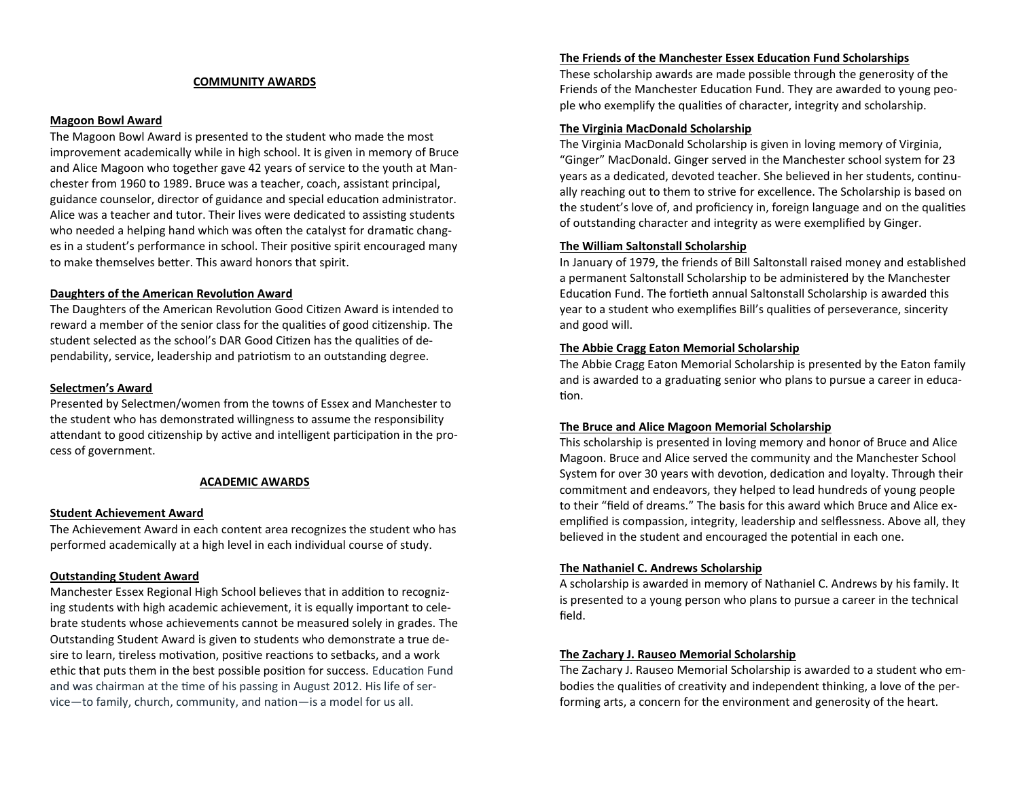#### **COMMUNITY AWARDS**

#### **Magoon Bowl Award**

The Magoon Bowl Award is presented to the student who made the most improvement academically while in high school. It is given in memory of Bruce and Alice Magoon who together gave 42 years of service to the youth at Manchester from 1960 to 1989. Bruce was a teacher, coach, assistant principal, guidance counselor, director of guidance and special education administrator. Alice was a teacher and tutor. Their lives were dedicated to assisting students who needed a helping hand which was often the catalyst for dramatic changes in a student's performance in school. Their positive spirit encouraged many to make themselves better. This award honors that spirit.

#### **Daughters of the American Revolution Award**

The Daughters of the American Revolution Good Citizen Award is intended to reward a member of the senior class for the qualities of good citizenship. The student selected as the school's DAR Good Citizen has the qualities of dependability, service, leadership and patriotism to an outstanding degree.

#### **Selectmen's Award**

Presented by Selectmen/women from the towns of Essex and Manchester to the student who has demonstrated willingness to assume the responsibility attendant to good citizenship by active and intelligent participation in the process of government.

#### **ACADEMIC AWARDS**

#### **Student Achievement Award**

The Achievement Award in each content area recognizes the student who has performed academically at a high level in each individual course of study.

#### **Outstanding Student Award**

Manchester Essex Regional High School believes that in addition to recognizing students with high academic achievement, it is equally important to celebrate students whose achievements cannot be measured solely in grades. The Outstanding Student Award is given to students who demonstrate a true desire to learn, tireless motivation, positive reactions to setbacks, and a work ethic that puts them in the best possible position for success. Education Fund and was chairman at the time of his passing in August 2012. His life of service—to family, church, community, and nation—is a model for us all.

#### **The Friends of the Manchester Essex Education Fund Scholarships**

These scholarship awards are made possible through the generosity of the Friends of the Manchester Education Fund. They are awarded to young people who exemplify the qualities of character, integrity and scholarship.

#### **The Virginia MacDonald Scholarship**

The Virginia MacDonald Scholarship is given in loving memory of Virginia, "Ginger" MacDonald. Ginger served in the Manchester school system for 23 years as a dedicated, devoted teacher. She believed in her students, continually reaching out to them to strive for excellence. The Scholarship is based on the student's love of, and proficiency in, foreign language and on the qualities of outstanding character and integrity as were exemplified by Ginger.

#### **The William Saltonstall Scholarship**

In January of 1979, the friends of Bill Saltonstall raised money and established a permanent Saltonstall Scholarship to be administered by the Manchester Education Fund. The fortieth annual Saltonstall Scholarship is awarded this year to a student who exemplifies Bill's qualities of perseverance, sincerity and good will.

#### **The Abbie Cragg Eaton Memorial Scholarship**

The Abbie Cragg Eaton Memorial Scholarship is presented by the Eaton family and is awarded to a graduating senior who plans to pursue a career in education.

#### **The Bruce and Alice Magoon Memorial Scholarship**

This scholarship is presented in loving memory and honor of Bruce and Alice Magoon. Bruce and Alice served the community and the Manchester School System for over 30 years with devotion, dedication and loyalty. Through their commitment and endeavors, they helped to lead hundreds of young people to their "field of dreams." The basis for this award which Bruce and Alice exemplified is compassion, integrity, leadership and selflessness. Above all, they believed in the student and encouraged the potential in each one.

#### **The Nathaniel C. Andrews Scholarship**

A scholarship is awarded in memory of Nathaniel C. Andrews by his family. It is presented to a young person who plans to pursue a career in the technical field.

#### **The Zachary J. Rauseo Memorial Scholarship**

The Zachary J. Rauseo Memorial Scholarship is awarded to a student who embodies the qualities of creativity and independent thinking, a love of the performing arts, a concern for the environment and generosity of the heart.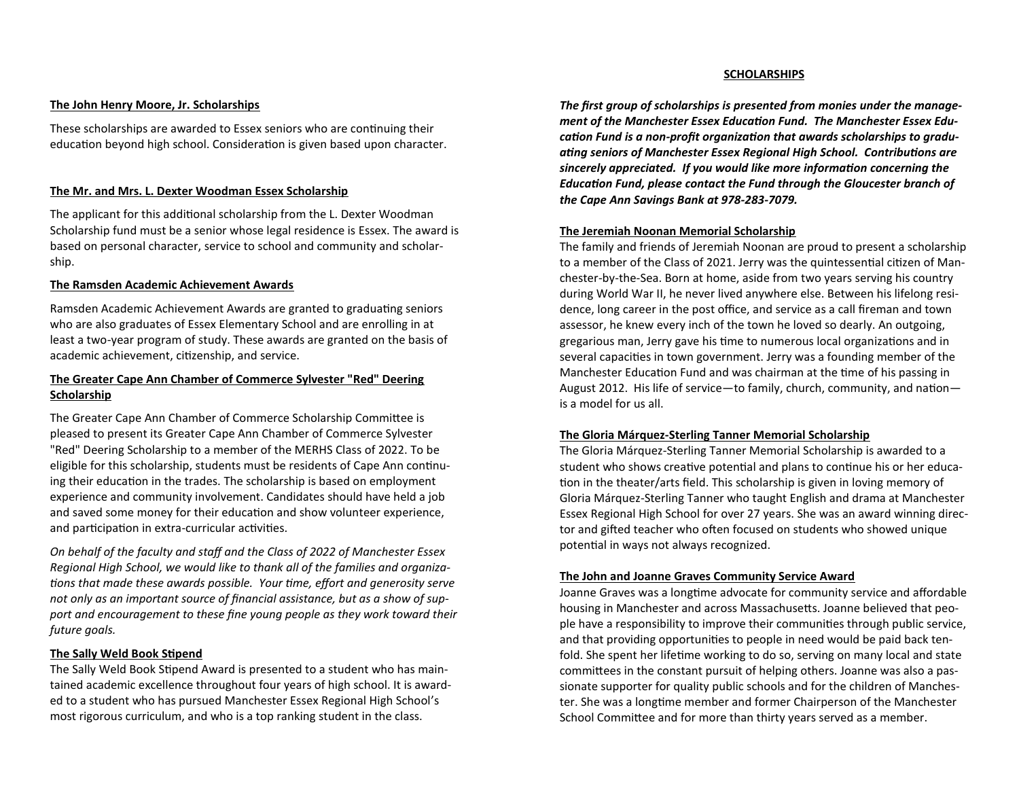#### **The John Henry Moore, Jr. Scholarships**

These scholarships are awarded to Essex seniors who are continuing their education beyond high school. Consideration is given based upon character.

#### **The Mr. and Mrs. L. Dexter Woodman Essex Scholarship**

The applicant for this additional scholarship from the L. Dexter Woodman Scholarship fund must be a senior whose legal residence is Essex. The award is based on personal character, service to school and community and scholarship.

#### **The Ramsden Academic Achievement Awards**

Ramsden Academic Achievement Awards are granted to graduating seniors who are also graduates of Essex Elementary School and are enrolling in at least a two-year program of study. These awards are granted on the basis of academic achievement, citizenship, and service.

## **The Greater Cape Ann Chamber of Commerce Sylvester "Red" Deering Scholarship**

The Greater Cape Ann Chamber of Commerce Scholarship Committee is pleased to present its Greater Cape Ann Chamber of Commerce Sylvester "Red" Deering Scholarship to a member of the MERHS Class of 2022. To be eligible for this scholarship, students must be residents of Cape Ann continuing their education in the trades. The scholarship is based on employment experience and community involvement. Candidates should have held a job and saved some money for their education and show volunteer experience, and participation in extra-curricular activities.

*On behalf of the faculty and staff and the Class of 2022 of Manchester Essex Regional High School, we would like to thank all of the families and organizations that made these awards possible. Your time, effort and generosity serve not only as an important source of financial assistance, but as a show of support and encouragement to these fine young people as they work toward their future goals.*

#### **The Sally Weld Book Stipend**

The Sally Weld Book Stipend Award is presented to a student who has maintained academic excellence throughout four years of high school. It is awarded to a student who has pursued Manchester Essex Regional High School's most rigorous curriculum, and who is a top ranking student in the class.

#### **SCHOLARSHIPS**

*The first group of scholarships is presented from monies under the management of the Manchester Essex Education Fund. The Manchester Essex Education Fund is a non-profit organization that awards scholarships to graduating seniors of Manchester Essex Regional High School. Contributions are sincerely appreciated. If you would like more information concerning the Education Fund, please contact the Fund through the Gloucester branch of the Cape Ann Savings Bank at 978-283-7079.*

#### **The Jeremiah Noonan Memorial Scholarship**

The family and friends of Jeremiah Noonan are proud to present a scholarship to a member of the Class of 2021. Jerry was the quintessential citizen of Manchester-by-the-Sea. Born at home, aside from two years serving his country during World War II, he never lived anywhere else. Between his lifelong residence, long career in the post office, and service as a call fireman and town assessor, he knew every inch of the town he loved so dearly. An outgoing, gregarious man, Jerry gave his time to numerous local organizations and in several capacities in town government. Jerry was a founding member of the Manchester Education Fund and was chairman at the time of his passing in August 2012. His life of service—to family, church, community, and nation is a model for us all.

#### **The Gloria Márquez-Sterling Tanner Memorial Scholarship**

The Gloria Márquez-Sterling Tanner Memorial Scholarship is awarded to a student who shows creative potential and plans to continue his or her education in the theater/arts field. This scholarship is given in loving memory of Gloria Márquez-Sterling Tanner who taught English and drama at Manchester Essex Regional High School for over 27 years. She was an award winning director and gifted teacher who often focused on students who showed unique potential in ways not always recognized.

#### **The John and Joanne Graves Community Service Award**

Joanne Graves was a longtime advocate for community service and affordable housing in Manchester and across Massachusetts. Joanne believed that people have a responsibility to improve their communities through public service, and that providing opportunities to people in need would be paid back tenfold. She spent her lifetime working to do so, serving on many local and state committees in the constant pursuit of helping others. Joanne was also a passionate supporter for quality public schools and for the children of Manchester. She was a longtime member and former Chairperson of the Manchester School Committee and for more than thirty years served as a member.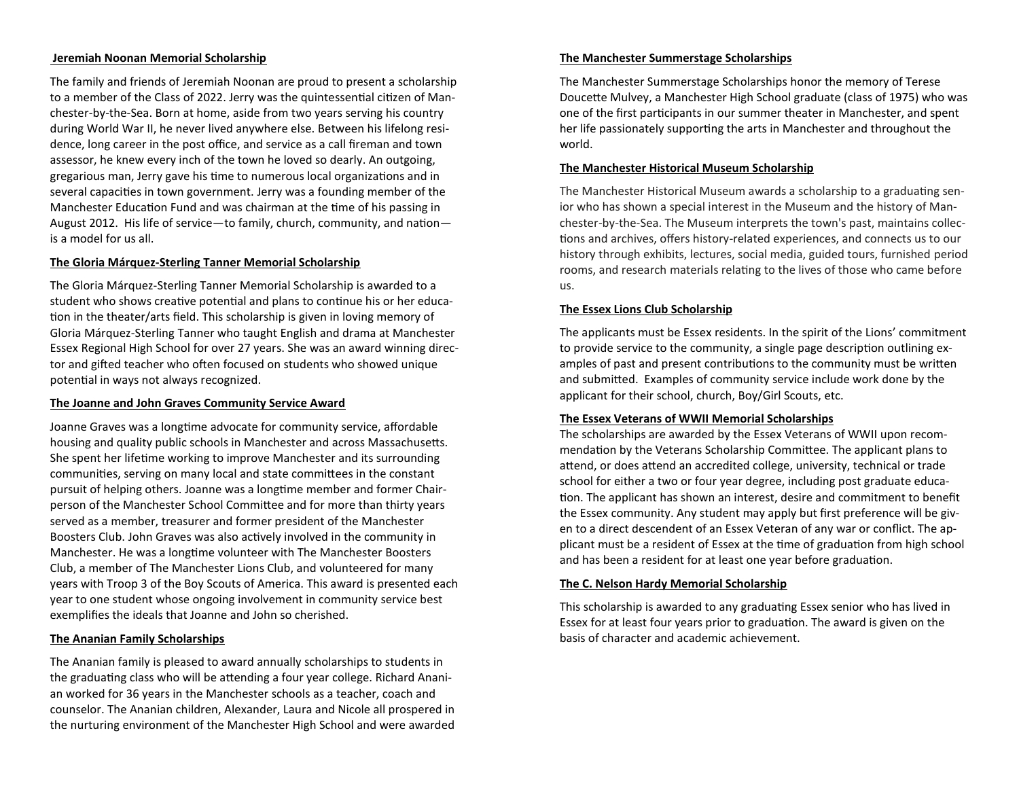#### **Jeremiah Noonan Memorial Scholarship**

The family and friends of Jeremiah Noonan are proud to present a scholarship to a member of the Class of 2022. Jerry was the quintessential citizen of Manchester-by-the-Sea. Born at home, aside from two years serving his country during World War II, he never lived anywhere else. Between his lifelong residence, long career in the post office, and service as a call fireman and town assessor, he knew every inch of the town he loved so dearly. An outgoing, gregarious man, Jerry gave his time to numerous local organizations and in several capacities in town government. Jerry was a founding member of the Manchester Education Fund and was chairman at the time of his passing in August 2012. His life of service—to family, church, community, and nation is a model for us all.

#### **The Gloria Márquez-Sterling Tanner Memorial Scholarship**

The Gloria Márquez-Sterling Tanner Memorial Scholarship is awarded to a student who shows creative potential and plans to continue his or her education in the theater/arts field. This scholarship is given in loving memory of Gloria Márquez-Sterling Tanner who taught English and drama at Manchester Essex Regional High School for over 27 years. She was an award winning director and gifted teacher who often focused on students who showed unique potential in ways not always recognized.

#### **The Joanne and John Graves Community Service Award**

Joanne Graves was a longtime advocate for community service, affordable housing and quality public schools in Manchester and across Massachusetts. She spent her lifetime working to improve Manchester and its surrounding communities, serving on many local and state committees in the constant pursuit of helping others. Joanne was a longtime member and former Chairperson of the Manchester School Committee and for more than thirty years served as a member, treasurer and former president of the Manchester Boosters Club. John Graves was also actively involved in the community in Manchester. He was a longtime volunteer with The Manchester Boosters Club, a member of The Manchester Lions Club, and volunteered for many years with Troop 3 of the Boy Scouts of America. This award is presented each year to one student whose ongoing involvement in community service best exemplifies the ideals that Joanne and John so cherished.

## **The Ananian Family Scholarships**

The Ananian family is pleased to award annually scholarships to students in the graduating class who will be attending a four year college. Richard Ananian worked for 36 years in the Manchester schools as a teacher, coach and counselor. The Ananian children, Alexander, Laura and Nicole all prospered in the nurturing environment of the Manchester High School and were awarded

#### **The Manchester Summerstage Scholarships**

The Manchester Summerstage Scholarships honor the memory of Terese Doucette Mulvey, a Manchester High School graduate (class of 1975) who was one of the first participants in our summer theater in Manchester, and spent her life passionately supporting the arts in Manchester and throughout the world.

## **The Manchester Historical Museum Scholarship**

The Manchester Historical Museum awards a scholarship to a graduating senior who has shown a special interest in the Museum and the history of Manchester-by-the-Sea. The Museum interprets the town's past, maintains collections and archives, offers history-related experiences, and connects us to our history through exhibits, lectures, social media, guided tours, furnished period rooms, and research materials relating to the lives of those who came before us.

## **The Essex Lions Club Scholarship**

The applicants must be Essex residents. In the spirit of the Lions' commitment to provide service to the community, a single page description outlining examples of past and present contributions to the community must be written and submitted. Examples of community service include work done by the applicant for their school, church, Boy/Girl Scouts, etc.

## **The Essex Veterans of WWII Memorial Scholarships**

The scholarships are awarded by the Essex Veterans of WWII upon recommendation by the Veterans Scholarship Committee. The applicant plans to attend, or does attend an accredited college, university, technical or trade school for either a two or four year degree, including post graduate education. The applicant has shown an interest, desire and commitment to benefit the Essex community. Any student may apply but first preference will be given to a direct descendent of an Essex Veteran of any war or conflict. The applicant must be a resident of Essex at the time of graduation from high school and has been a resident for at least one year before graduation.

#### **The C. Nelson Hardy Memorial Scholarship**

This scholarship is awarded to any graduating Essex senior who has lived in Essex for at least four years prior to graduation. The award is given on the basis of character and academic achievement.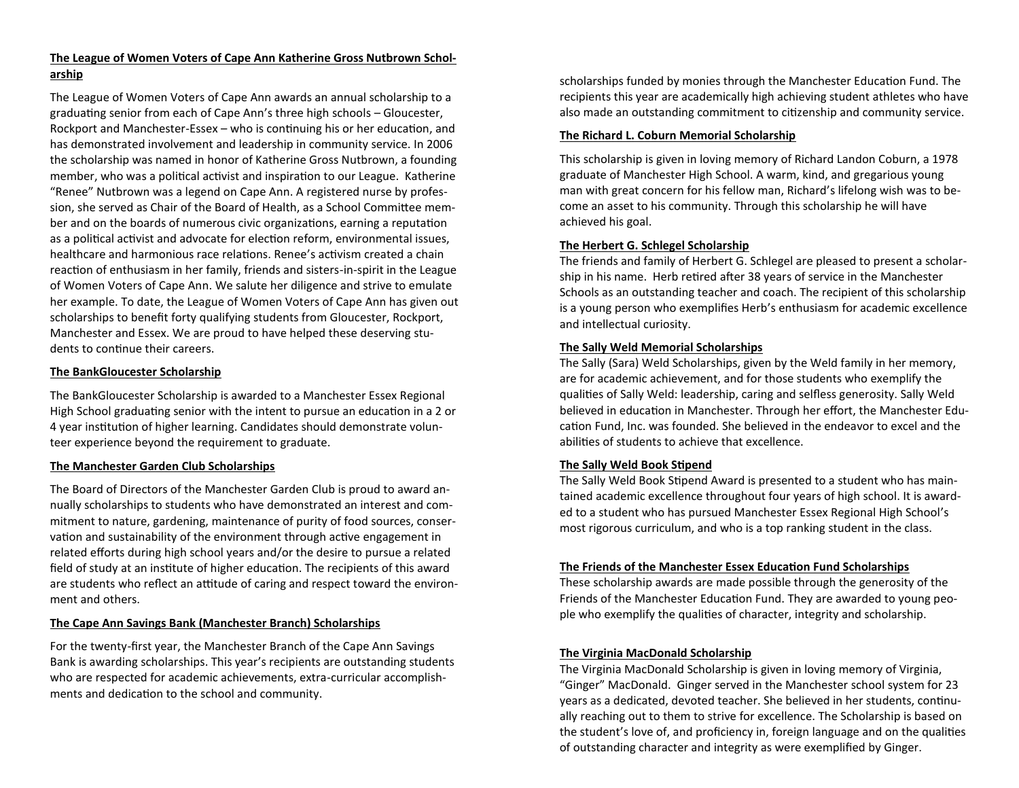## **The League of Women Voters of Cape Ann Katherine Gross Nutbrown Scholarship**

The League of Women Voters of Cape Ann awards an annual scholarship to a graduating senior from each of Cape Ann's three high schools – Gloucester, Rockport and Manchester-Essex – who is continuing his or her education, and has demonstrated involvement and leadership in community service. In 2006 the scholarship was named in honor of Katherine Gross Nutbrown, a founding member, who was a political activist and inspiration to our League. Katherine "Renee" Nutbrown was a legend on Cape Ann. A registered nurse by profession, she served as Chair of the Board of Health, as a School Committee member and on the boards of numerous civic organizations, earning a reputation as a political activist and advocate for election reform, environmental issues, healthcare and harmonious race relations. Renee's activism created a chain reaction of enthusiasm in her family, friends and sisters-in-spirit in the League of Women Voters of Cape Ann. We salute her diligence and strive to emulate her example. To date, the League of Women Voters of Cape Ann has given out scholarships to benefit forty qualifying students from Gloucester, Rockport, Manchester and Essex. We are proud to have helped these deserving students to continue their careers.

#### **The BankGloucester Scholarship**

The BankGloucester Scholarship is awarded to a Manchester Essex Regional High School graduating senior with the intent to pursue an education in a 2 or 4 year institution of higher learning. Candidates should demonstrate volunteer experience beyond the requirement to graduate.

#### **The Manchester Garden Club Scholarships**

The Board of Directors of the Manchester Garden Club is proud to award annually scholarships to students who have demonstrated an interest and commitment to nature, gardening, maintenance of purity of food sources, conservation and sustainability of the environment through active engagement in related efforts during high school years and/or the desire to pursue a related field of study at an institute of higher education. The recipients of this award are students who reflect an attitude of caring and respect toward the environment and others.

## **The Cape Ann Savings Bank (Manchester Branch) Scholarships**

For the twenty-first year, the Manchester Branch of the Cape Ann Savings Bank is awarding scholarships. This year's recipients are outstanding students who are respected for academic achievements, extra-curricular accomplishments and dedication to the school and community.

scholarships funded by monies through the Manchester Education Fund. The recipients this year are academically high achieving student athletes who have also made an outstanding commitment to citizenship and community service.

#### **The Richard L. Coburn Memorial Scholarship**

This scholarship is given in loving memory of Richard Landon Coburn, a 1978 graduate of Manchester High School. A warm, kind, and gregarious young man with great concern for his fellow man, Richard's lifelong wish was to become an asset to his community. Through this scholarship he will have achieved his goal.

#### **The Herbert G. Schlegel Scholarship**

The friends and family of Herbert G. Schlegel are pleased to present a scholarship in his name. Herb retired after 38 years of service in the Manchester Schools as an outstanding teacher and coach. The recipient of this scholarship is a young person who exemplifies Herb's enthusiasm for academic excellence and intellectual curiosity.

#### **The Sally Weld Memorial Scholarships**

The Sally (Sara) Weld Scholarships, given by the Weld family in her memory, are for academic achievement, and for those students who exemplify the qualities of Sally Weld: leadership, caring and selfless generosity. Sally Weld believed in education in Manchester. Through her effort, the Manchester Education Fund, Inc. was founded. She believed in the endeavor to excel and the abilities of students to achieve that excellence.

## **The Sally Weld Book Stipend**

The Sally Weld Book Stipend Award is presented to a student who has maintained academic excellence throughout four years of high school. It is awarded to a student who has pursued Manchester Essex Regional High School's most rigorous curriculum, and who is a top ranking student in the class.

#### **The Friends of the Manchester Essex Education Fund Scholarships**

These scholarship awards are made possible through the generosity of the Friends of the Manchester Education Fund. They are awarded to young people who exemplify the qualities of character, integrity and scholarship.

## **The Virginia MacDonald Scholarship**

The Virginia MacDonald Scholarship is given in loving memory of Virginia, "Ginger" MacDonald. Ginger served in the Manchester school system for 23 years as a dedicated, devoted teacher. She believed in her students, continually reaching out to them to strive for excellence. The Scholarship is based on the student's love of, and proficiency in, foreign language and on the qualities of outstanding character and integrity as were exemplified by Ginger.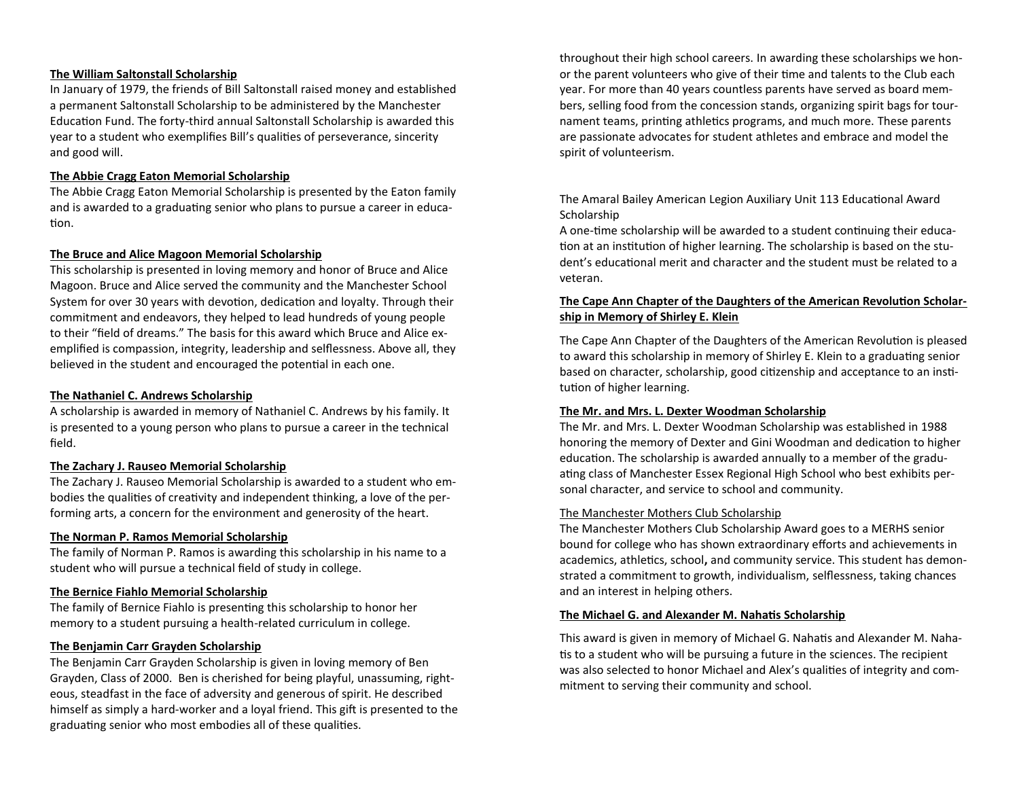#### **The William Saltonstall Scholarship**

In January of 1979, the friends of Bill Saltonstall raised money and established a permanent Saltonstall Scholarship to be administered by the Manchester Education Fund. The forty-third annual Saltonstall Scholarship is awarded this year to a student who exemplifies Bill's qualities of perseverance, sincerity and good will.

#### **The Abbie Cragg Eaton Memorial Scholarship**

The Abbie Cragg Eaton Memorial Scholarship is presented by the Eaton family and is awarded to a graduating senior who plans to pursue a career in education.

#### **The Bruce and Alice Magoon Memorial Scholarship**

This scholarship is presented in loving memory and honor of Bruce and Alice Magoon. Bruce and Alice served the community and the Manchester School System for over 30 years with devotion, dedication and loyalty. Through their commitment and endeavors, they helped to lead hundreds of young people to their "field of dreams." The basis for this award which Bruce and Alice exemplified is compassion, integrity, leadership and selflessness. Above all, they believed in the student and encouraged the potential in each one.

#### **The Nathaniel C. Andrews Scholarship**

A scholarship is awarded in memory of Nathaniel C. Andrews by his family. It is presented to a young person who plans to pursue a career in the technical field.

#### **The Zachary J. Rauseo Memorial Scholarship**

The Zachary J. Rauseo Memorial Scholarship is awarded to a student who embodies the qualities of creativity and independent thinking, a love of the performing arts, a concern for the environment and generosity of the heart.

#### **The Norman P. Ramos Memorial Scholarship**

The family of Norman P. Ramos is awarding this scholarship in his name to a student who will pursue a technical field of study in college.

#### **The Bernice Fiahlo Memorial Scholarship**

The family of Bernice Fiahlo is presenting this scholarship to honor her memory to a student pursuing a health-related curriculum in college.

#### **The Benjamin Carr Grayden Scholarship**

The Benjamin Carr Grayden Scholarship is given in loving memory of Ben Grayden, Class of 2000. Ben is cherished for being playful, unassuming, righteous, steadfast in the face of adversity and generous of spirit. He described himself as simply a hard-worker and a loyal friend. This gift is presented to the graduating senior who most embodies all of these qualities.

throughout their high school careers. In awarding these scholarships we honor the parent volunteers who give of their time and talents to the Club each year. For more than 40 years countless parents have served as board members, selling food from the concession stands, organizing spirit bags for tournament teams, printing athletics programs, and much more. These parents are passionate advocates for student athletes and embrace and model the spirit of volunteerism.

## The Amaral Bailey American Legion Auxiliary Unit 113 Educational Award **Scholarship**

A one-time scholarship will be awarded to a student continuing their education at an institution of higher learning. The scholarship is based on the student's educational merit and character and the student must be related to a veteran.

## **The Cape Ann Chapter of the Daughters of the American Revolution Scholarship in Memory of Shirley E. Klein**

The Cape Ann Chapter of the Daughters of the American Revolution is pleased to award this scholarship in memory of Shirley E. Klein to a graduating senior based on character, scholarship, good citizenship and acceptance to an institution of higher learning.

#### **The Mr. and Mrs. L. Dexter Woodman Scholarship**

The Mr. and Mrs. L. Dexter Woodman Scholarship was established in 1988 honoring the memory of Dexter and Gini Woodman and dedication to higher education. The scholarship is awarded annually to a member of the graduating class of Manchester Essex Regional High School who best exhibits personal character, and service to school and community.

#### The Manchester Mothers Club Scholarship

The Manchester Mothers Club Scholarship Award goes to a MERHS senior bound for college who has shown extraordinary efforts and achievements in academics, athletics, school**,** and community service. This student has demonstrated a commitment to growth, individualism, selflessness, taking chances and an interest in helping others.

#### **The Michael G. and Alexander M. Nahatis Scholarship**

This award is given in memory of Michael G. Nahatis and Alexander M. Nahatis to a student who will be pursuing a future in the sciences. The recipient was also selected to honor Michael and Alex's qualities of integrity and commitment to serving their community and school.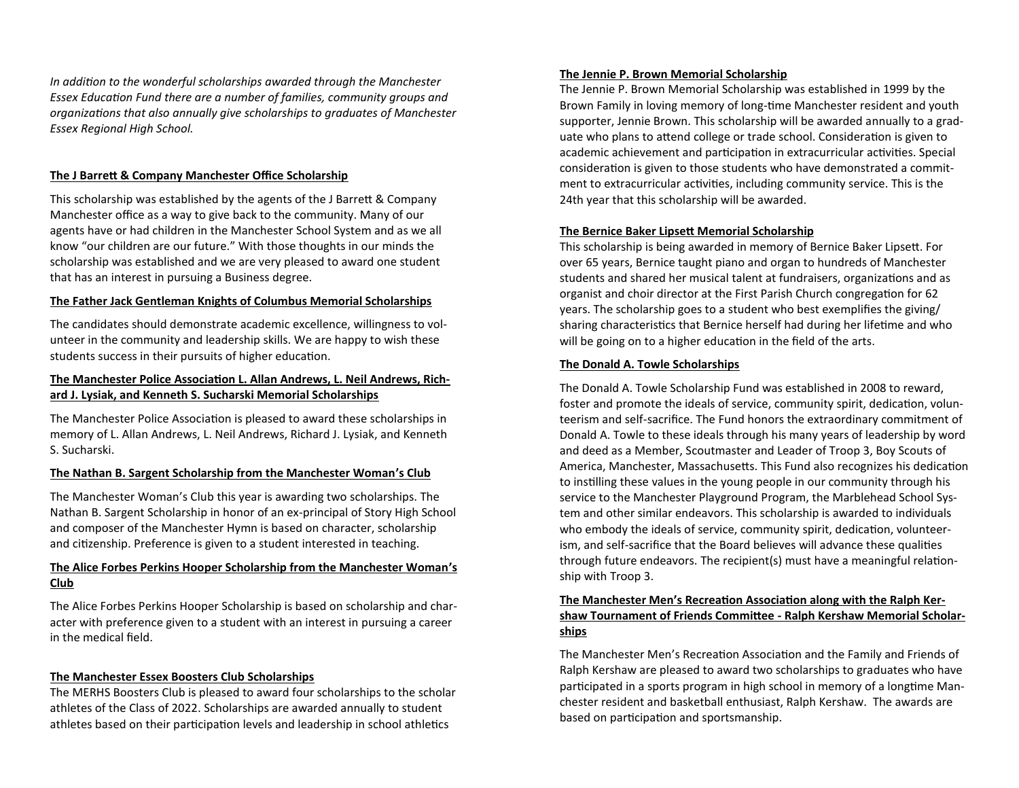*In addition to the wonderful scholarships awarded through the Manchester Essex Education Fund there are a number of families, community groups and organizations that also annually give scholarships to graduates of Manchester Essex Regional High School.* 

#### **The J Barrett & Company Manchester Office Scholarship**

This scholarship was established by the agents of the J Barrett & Company Manchester office as a way to give back to the community. Many of our agents have or had children in the Manchester School System and as we all know "our children are our future." With those thoughts in our minds the scholarship was established and we are very pleased to award one student that has an interest in pursuing a Business degree.

#### **The Father Jack Gentleman Knights of Columbus Memorial Scholarships**

The candidates should demonstrate academic excellence, willingness to volunteer in the community and leadership skills. We are happy to wish these students success in their pursuits of higher education.

## **The Manchester Police Association L. Allan Andrews, L. Neil Andrews, Richard J. Lysiak, and Kenneth S. Sucharski Memorial Scholarships**

The Manchester Police Association is pleased to award these scholarships in memory of L. Allan Andrews, L. Neil Andrews, Richard J. Lysiak, and Kenneth S. Sucharski.

#### **The Nathan B. Sargent Scholarship from the Manchester Woman's Club**

The Manchester Woman's Club this year is awarding two scholarships. The Nathan B. Sargent Scholarship in honor of an ex-principal of Story High School and composer of the Manchester Hymn is based on character, scholarship and citizenship. Preference is given to a student interested in teaching.

#### **The Alice Forbes Perkins Hooper Scholarship from the Manchester Woman's Club**

The Alice Forbes Perkins Hooper Scholarship is based on scholarship and character with preference given to a student with an interest in pursuing a career in the medical field.

#### **The Manchester Essex Boosters Club Scholarships**

The MERHS Boosters Club is pleased to award four scholarships to the scholar athletes of the Class of 2022. Scholarships are awarded annually to student athletes based on their participation levels and leadership in school athletics

#### **The Jennie P. Brown Memorial Scholarship**

The Jennie P. Brown Memorial Scholarship was established in 1999 by the Brown Family in loving memory of long-time Manchester resident and youth supporter, Jennie Brown. This scholarship will be awarded annually to a graduate who plans to attend college or trade school. Consideration is given to academic achievement and participation in extracurricular activities. Special consideration is given to those students who have demonstrated a commitment to extracurricular activities, including community service. This is the 24th year that this scholarship will be awarded.

#### **The Bernice Baker Lipsett Memorial Scholarship**

This scholarship is being awarded in memory of Bernice Baker Lipsett. For over 65 years, Bernice taught piano and organ to hundreds of Manchester students and shared her musical talent at fundraisers, organizations and as organist and choir director at the First Parish Church congregation for 62 years. The scholarship goes to a student who best exemplifies the giving/ sharing characteristics that Bernice herself had during her lifetime and who will be going on to a higher education in the field of the arts.

#### **The Donald A. Towle Scholarships**

The Donald A. Towle Scholarship Fund was established in 2008 to reward, foster and promote the ideals of service, community spirit, dedication, volunteerism and self-sacrifice. The Fund honors the extraordinary commitment of Donald A. Towle to these ideals through his many years of leadership by word and deed as a Member, Scoutmaster and Leader of Troop 3, Boy Scouts of America, Manchester, Massachusetts. This Fund also recognizes his dedication to instilling these values in the young people in our community through his service to the Manchester Playground Program, the Marblehead School System and other similar endeavors. This scholarship is awarded to individuals who embody the ideals of service, community spirit, dedication, volunteerism, and self-sacrifice that the Board believes will advance these qualities through future endeavors. The recipient(s) must have a meaningful relationship with Troop 3.

## **The Manchester Men's Recreation Association along with the Ralph Kershaw Tournament of Friends Committee - Ralph Kershaw Memorial Scholarships**

The Manchester Men's Recreation Association and the Family and Friends of Ralph Kershaw are pleased to award two scholarships to graduates who have participated in a sports program in high school in memory of a longtime Manchester resident and basketball enthusiast, Ralph Kershaw. The awards are based on participation and sportsmanship.